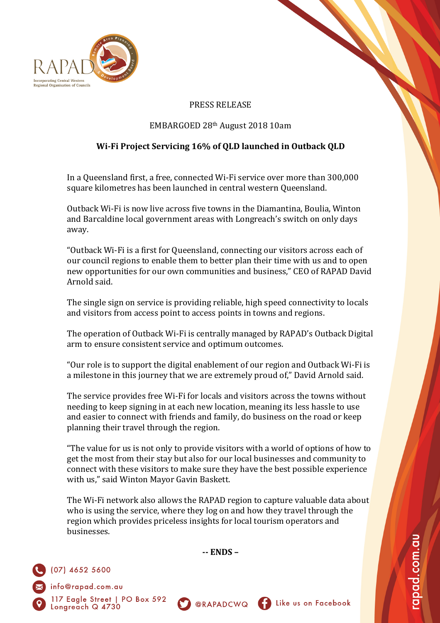

## PRESS RELEASE

## EMBARGOED 28th August 2018 10am

## **Wi-Fi Project Servicing 16% of QLD launched in Outback QLD**

In a Queensland first, a free, connected Wi-Fi service over more than 300,000 square kilometres has been launched in central western Queensland.

Outback Wi-Fi is now live across five towns in the Diamantina, Boulia, Winton and Barcaldine local government areas with Longreach's switch on only days away.

"Outback Wi-Fi is a first for Queensland, connecting our visitors across each of our council regions to enable them to better plan their time with us and to open new opportunities for our own communities and business," CEO of RAPAD David Arnold said.

The single sign on service is providing reliable, high speed connectivity to locals and visitors from access point to access points in towns and regions.

The operation of Outback Wi-Fi is centrally managed by RAPAD's Outback Digital arm to ensure consistent service and optimum outcomes.

"Our role is to support the digital enablement of our region and Outback Wi-Fi is a milestone in this journey that we are extremely proud of," David Arnold said.

The service provides free Wi-Fi for locals and visitors across the towns without needing to keep signing in at each new location, meaning its less hassle to use and easier to connect with friends and family, do business on the road or keep planning their travel through the region.

"The value for us is not only to provide visitors with a world of options of how to get the most from their stay but also for our local businesses and community to connect with these visitors to make sure they have the best possible experience with us," said Winton Mayor Gavin Baskett.

The Wi-Fi network also allows the RAPAD region to capture valuable data about who is using the service, where they log on and how they travel through the region which provides priceless insights for local tourism operators and businesses.

**-- ENDS –**

**SO @RAPADCWQ** 



the us on Facebook

apad.com.au